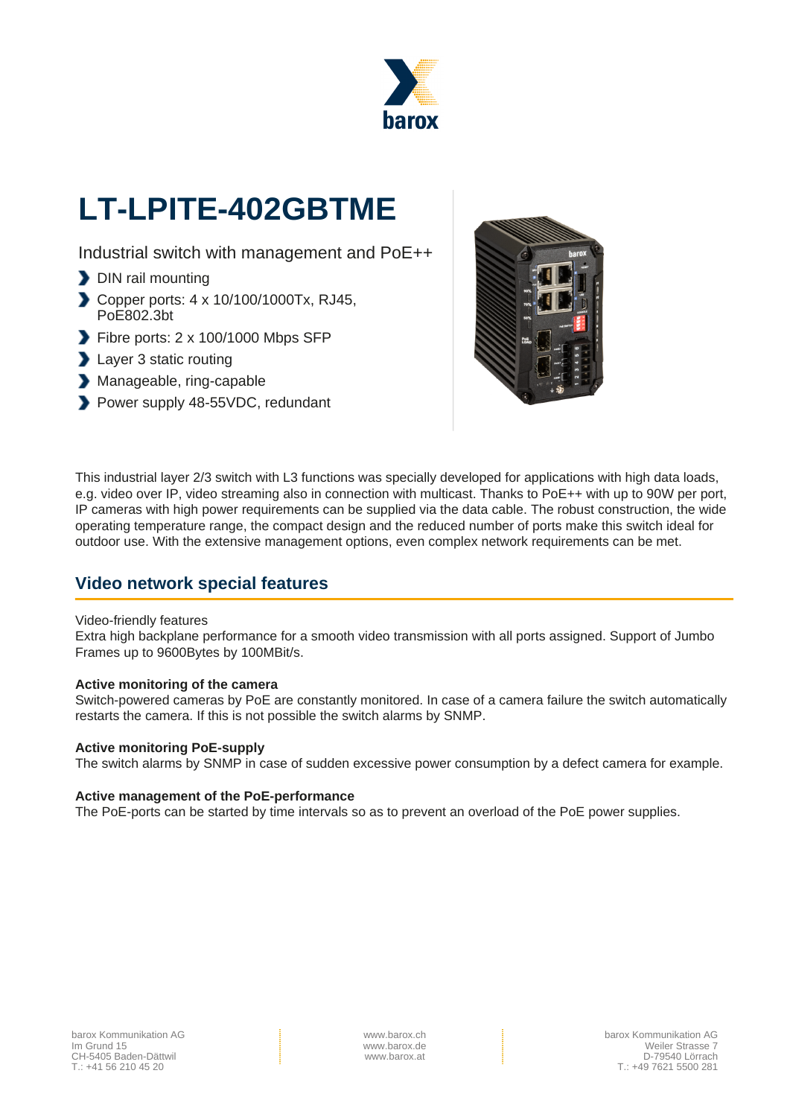

# **LT-LPITE-402GBTME**

Industrial switch with management and PoE++

- DIN rail mounting
- Copper ports: 4 x 10/100/1000Tx, RJ45, PoE802.3bt
- Fibre ports: 2 x 100/1000 Mbps SFP
- **Layer 3 static routing**
- Manageable, ring-capable
- Power supply 48-55VDC, redundant



This industrial layer 2/3 switch with L3 functions was specially developed for applications with high data loads, e.g. video over IP, video streaming also in connection with multicast. Thanks to PoE++ with up to 90W per port, IP cameras with high power requirements can be supplied via the data cable. The robust construction, the wide operating temperature range, the compact design and the reduced number of ports make this switch ideal for outdoor use. With the extensive management options, even complex network requirements can be met.

### **Video network special features**

#### Video-friendly features

Extra high backplane performance for a smooth video transmission with all ports assigned. Support of Jumbo Frames up to 9600Bytes by 100MBit/s.

#### **Active monitoring of the camera**

Switch-powered cameras by PoE are constantly monitored. In case of a camera failure the switch automatically restarts the camera. If this is not possible the switch alarms by SNMP.

#### **Active monitoring PoE-supply**

The switch alarms by SNMP in case of sudden excessive power consumption by a defect camera for example.

#### **Active management of the PoE-performance**

The PoE-ports can be started by time intervals so as to prevent an overload of the PoE power supplies.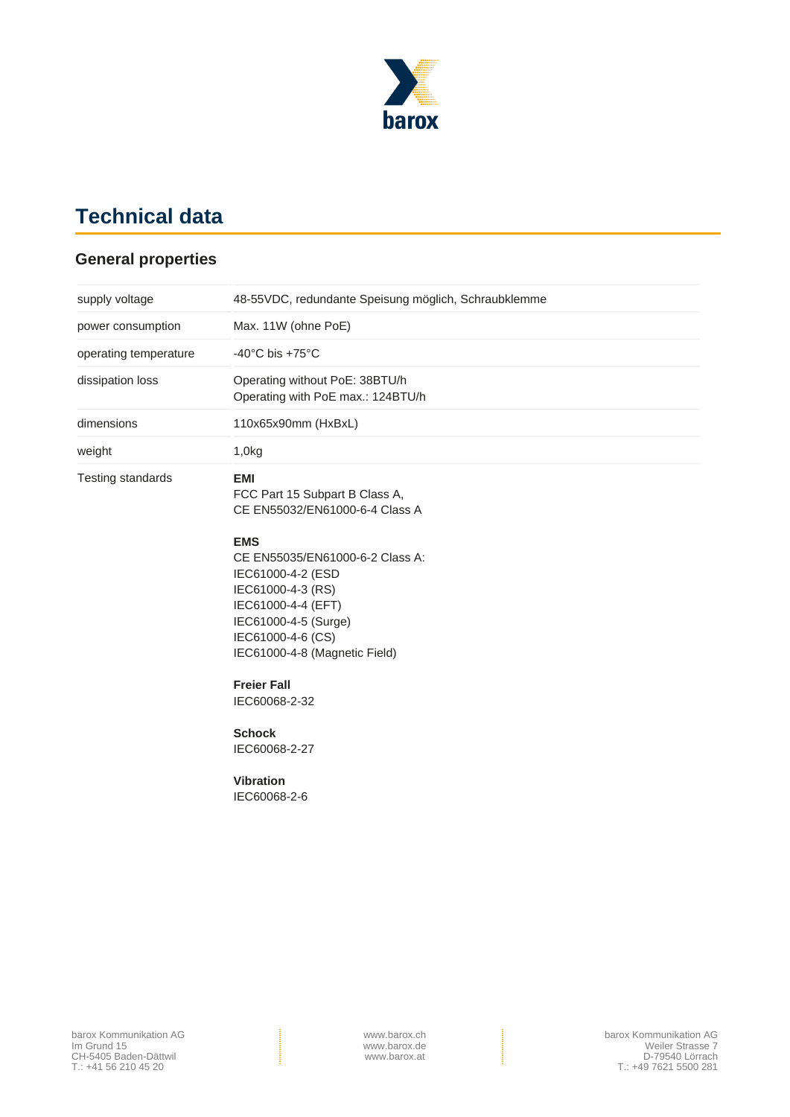

# **Technical data**

### **General properties**

| supply voltage        | 48-55VDC, redundante Speisung möglich, Schraubklemme                                                                                                                                                                                                                                                                                                                                       |
|-----------------------|--------------------------------------------------------------------------------------------------------------------------------------------------------------------------------------------------------------------------------------------------------------------------------------------------------------------------------------------------------------------------------------------|
| power consumption     | Max. 11W (ohne PoE)                                                                                                                                                                                                                                                                                                                                                                        |
| operating temperature | -40 $^{\circ}$ C bis +75 $^{\circ}$ C                                                                                                                                                                                                                                                                                                                                                      |
| dissipation loss      | Operating without PoE: 38BTU/h<br>Operating with PoE max.: 124BTU/h                                                                                                                                                                                                                                                                                                                        |
| dimensions            | 110x65x90mm (HxBxL)                                                                                                                                                                                                                                                                                                                                                                        |
| weight                | 1,0kg                                                                                                                                                                                                                                                                                                                                                                                      |
| Testing standards     | <b>EMI</b><br>FCC Part 15 Subpart B Class A,<br>CE EN55032/EN61000-6-4 Class A<br><b>EMS</b><br>CE EN55035/EN61000-6-2 Class A:<br>IEC61000-4-2 (ESD<br>IEC61000-4-3 (RS)<br>IEC61000-4-4 (EFT)<br>IEC61000-4-5 (Surge)<br>IEC61000-4-6 (CS)<br>IEC61000-4-8 (Magnetic Field)<br><b>Freier Fall</b><br>IEC60068-2-32<br><b>Schock</b><br>IEC60068-2-27<br><b>Vibration</b><br>IEC60068-2-6 |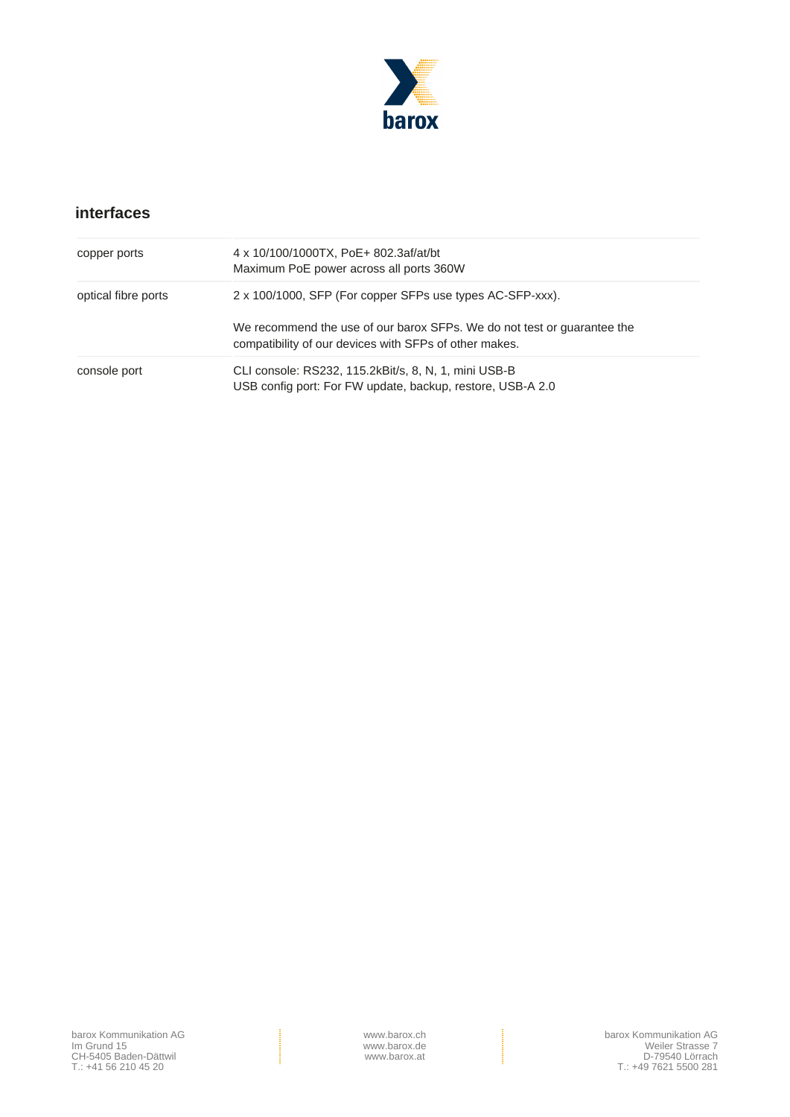

## **interfaces**

| copper ports        | 4 x 10/100/1000TX, PoE+ 802.3af/at/bt<br>Maximum PoE power across all ports 360W                                                     |
|---------------------|--------------------------------------------------------------------------------------------------------------------------------------|
| optical fibre ports | 2 x 100/1000, SFP (For copper SFPs use types AC-SFP-xxx).<br>We recommend the use of our barox SFPs. We do not test or guarantee the |
|                     | compatibility of our devices with SFPs of other makes.                                                                               |
| console port        | CLI console: RS232, 115.2kBit/s, 8, N, 1, mini USB-B<br>USB config port: For FW update, backup, restore, USB-A 2.0                   |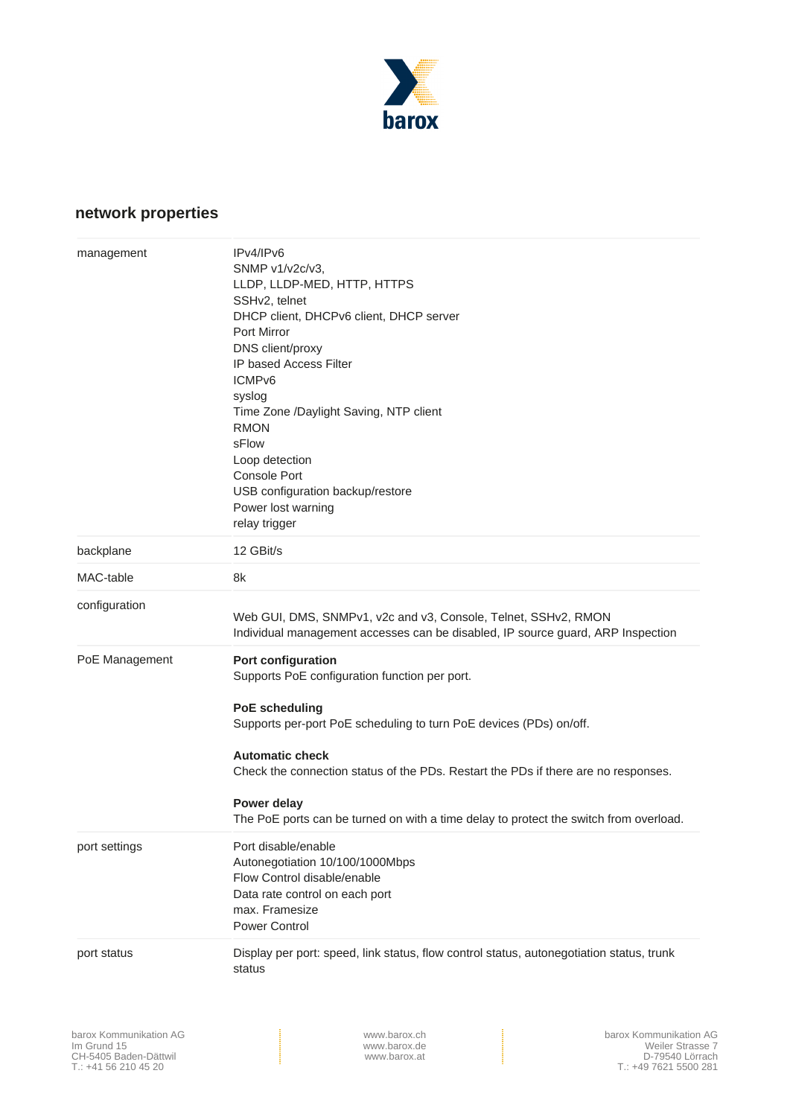

# **network properties**

| management     | IPv4/IPv6<br>SNMP v1/v2c/v3,<br>LLDP, LLDP-MED, HTTP, HTTPS<br>SSHv2, telnet<br>DHCP client, DHCPv6 client, DHCP server<br>Port Mirror<br>DNS client/proxy<br><b>IP based Access Filter</b><br>ICMP <sub>v6</sub><br>syslog<br>Time Zone /Daylight Saving, NTP client<br><b>RMON</b><br>sFlow<br>Loop detection<br><b>Console Port</b><br>USB configuration backup/restore<br>Power lost warning<br>relay trigger |
|----------------|-------------------------------------------------------------------------------------------------------------------------------------------------------------------------------------------------------------------------------------------------------------------------------------------------------------------------------------------------------------------------------------------------------------------|
| backplane      | 12 GBit/s                                                                                                                                                                                                                                                                                                                                                                                                         |
| MAC-table      | 8k                                                                                                                                                                                                                                                                                                                                                                                                                |
| configuration  | Web GUI, DMS, SNMPv1, v2c and v3, Console, Telnet, SSHv2, RMON<br>Individual management accesses can be disabled, IP source guard, ARP Inspection                                                                                                                                                                                                                                                                 |
| PoE Management | Port configuration<br>Supports PoE configuration function per port.<br><b>PoE scheduling</b><br>Supports per-port PoE scheduling to turn PoE devices (PDs) on/off.<br><b>Automatic check</b><br>Check the connection status of the PDs. Restart the PDs if there are no responses.<br>Power delay<br>The PoE ports can be turned on with a time delay to protect the switch from overload.                        |
| port settings  | Port disable/enable<br>Autonegotiation 10/100/1000Mbps<br>Flow Control disable/enable<br>Data rate control on each port<br>max. Framesize<br>Power Control                                                                                                                                                                                                                                                        |
| port status    | Display per port: speed, link status, flow control status, autonegotiation status, trunk<br>status                                                                                                                                                                                                                                                                                                                |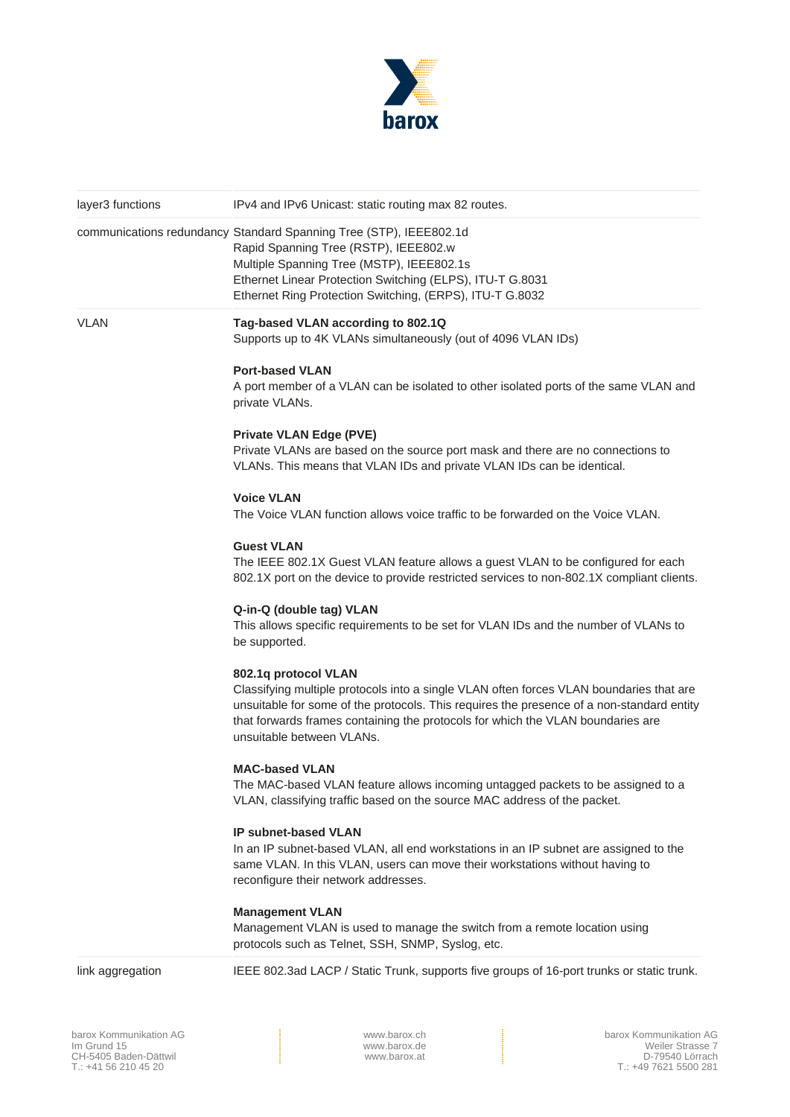

| layer3 functions | IPv4 and IPv6 Unicast: static routing max 82 routes.                                                                                                                                                                                                                                                                         |
|------------------|------------------------------------------------------------------------------------------------------------------------------------------------------------------------------------------------------------------------------------------------------------------------------------------------------------------------------|
|                  | communications redundancy Standard Spanning Tree (STP), IEEE802.1d<br>Rapid Spanning Tree (RSTP), IEEE802.w<br>Multiple Spanning Tree (MSTP), IEEE802.1s<br>Ethernet Linear Protection Switching (ELPS), ITU-T G.8031<br>Ethernet Ring Protection Switching, (ERPS), ITU-T G.8032                                            |
| <b>VLAN</b>      | Tag-based VLAN according to 802.1Q<br>Supports up to 4K VLANs simultaneously (out of 4096 VLAN IDs)                                                                                                                                                                                                                          |
|                  | <b>Port-based VLAN</b><br>A port member of a VLAN can be isolated to other isolated ports of the same VLAN and<br>private VLANs.                                                                                                                                                                                             |
|                  | <b>Private VLAN Edge (PVE)</b><br>Private VLANs are based on the source port mask and there are no connections to<br>VLANs. This means that VLAN IDs and private VLAN IDs can be identical.                                                                                                                                  |
|                  | <b>Voice VLAN</b><br>The Voice VLAN function allows voice traffic to be forwarded on the Voice VLAN.                                                                                                                                                                                                                         |
|                  | <b>Guest VLAN</b><br>The IEEE 802.1X Guest VLAN feature allows a guest VLAN to be configured for each<br>802.1X port on the device to provide restricted services to non-802.1X compliant clients.                                                                                                                           |
|                  | Q-in-Q (double tag) VLAN<br>This allows specific requirements to be set for VLAN IDs and the number of VLANs to<br>be supported.                                                                                                                                                                                             |
|                  | 802.1q protocol VLAN<br>Classifying multiple protocols into a single VLAN often forces VLAN boundaries that are<br>unsuitable for some of the protocols. This requires the presence of a non-standard entity<br>that forwards frames containing the protocols for which the VLAN boundaries are<br>unsuitable between VLANs. |
|                  | <b>MAC-based VLAN</b><br>The MAC-based VLAN feature allows incoming untagged packets to be assigned to a<br>VLAN, classifying traffic based on the source MAC address of the packet.                                                                                                                                         |
|                  | IP subnet-based VLAN<br>In an IP subnet-based VLAN, all end workstations in an IP subnet are assigned to the<br>same VLAN. In this VLAN, users can move their workstations without having to<br>reconfigure their network addresses.                                                                                         |
|                  | <b>Management VLAN</b><br>Management VLAN is used to manage the switch from a remote location using<br>protocols such as Telnet, SSH, SNMP, Syslog, etc.                                                                                                                                                                     |
| link aggregation | IEEE 802.3ad LACP / Static Trunk, supports five groups of 16-port trunks or static trunk.                                                                                                                                                                                                                                    |

barox Kommunikation AG Im Grund 15 CH-5405 Baden-Dättwil T.: +41 56 210 45 20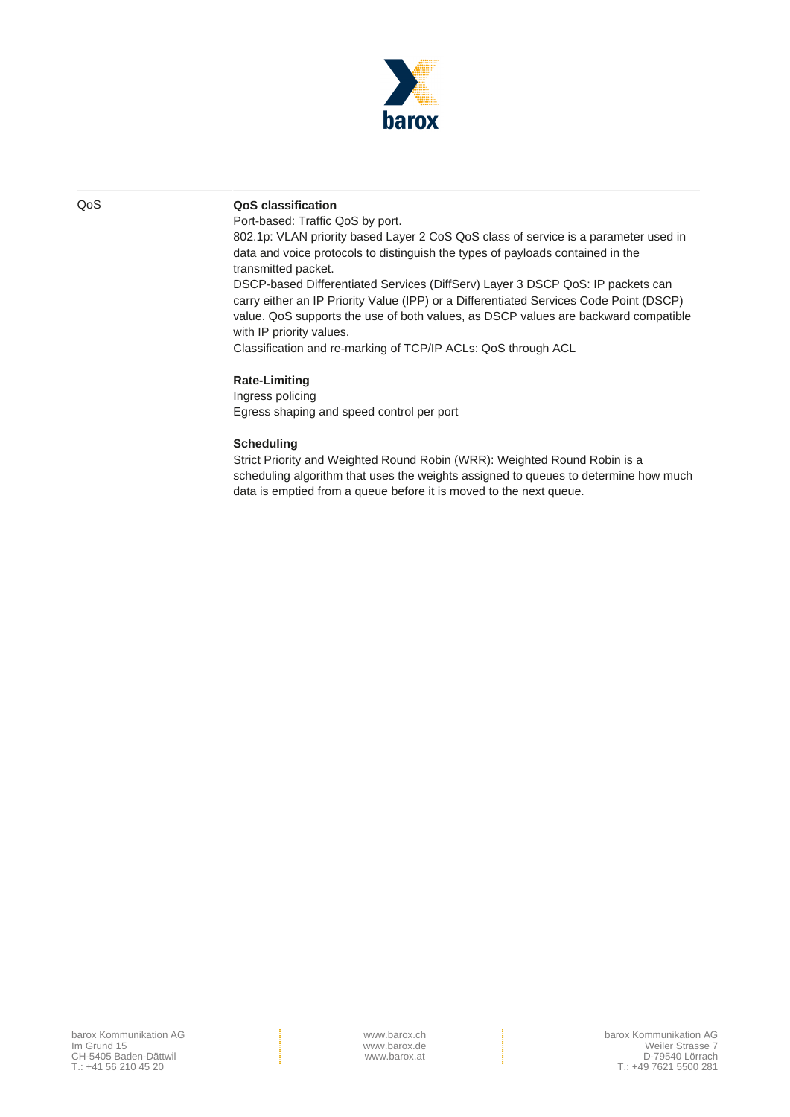

#### QoS **QoS classification**

Port-based: Traffic QoS by port.

802.1p: VLAN priority based Layer 2 CoS QoS class of service is a parameter used in data and voice protocols to distinguish the types of payloads contained in the transmitted packet.

DSCP-based Differentiated Services (DiffServ) Layer 3 DSCP QoS: IP packets can carry either an IP Priority Value (IPP) or a Differentiated Services Code Point (DSCP) value. QoS supports the use of both values, as DSCP values are backward compatible with IP priority values.

Classification and re-marking of TCP/IP ACLs: QoS through ACL

#### **Rate-Limiting**

Ingress policing Egress shaping and speed control per port

#### **Scheduling**

Strict Priority and Weighted Round Robin (WRR): Weighted Round Robin is a scheduling algorithm that uses the weights assigned to queues to determine how much data is emptied from a queue before it is moved to the next queue.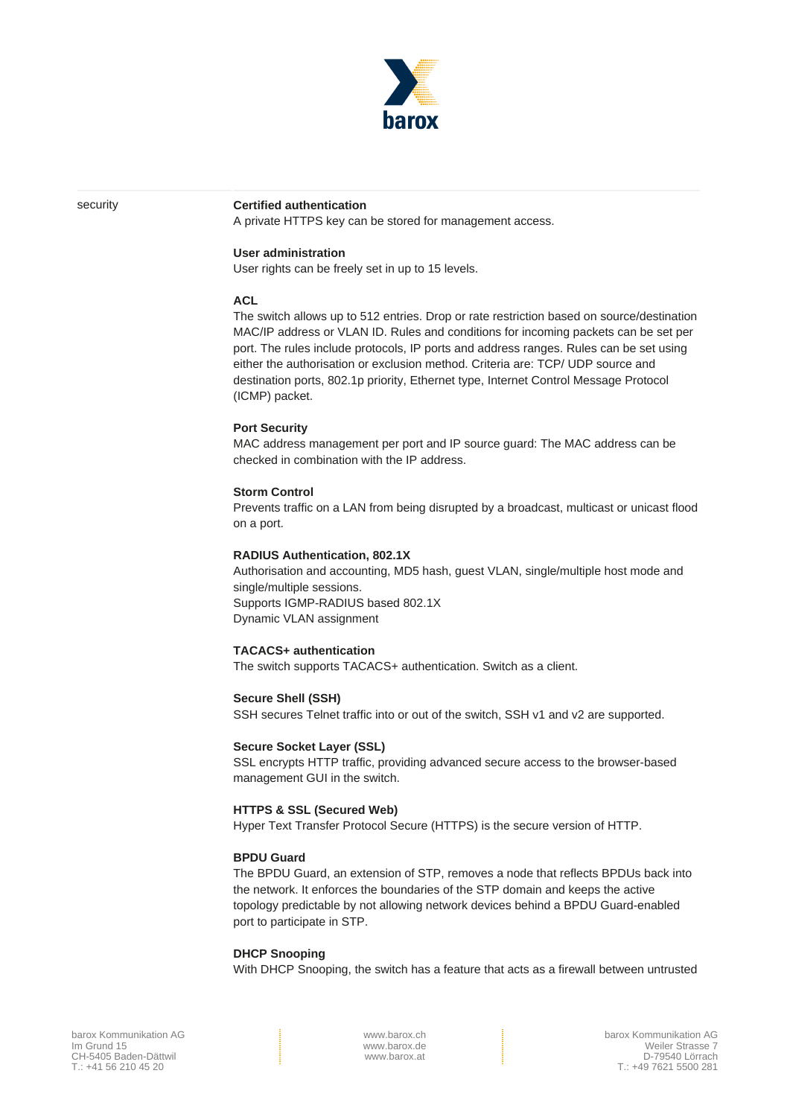

#### security **Certified authentication**

A private HTTPS key can be stored for management access.

#### **User administration**

User rights can be freely set in up to 15 levels.

#### **ACL**

The switch allows up to 512 entries. Drop or rate restriction based on source/destination MAC/IP address or VLAN ID. Rules and conditions for incoming packets can be set per port. The rules include protocols, IP ports and address ranges. Rules can be set using either the authorisation or exclusion method. Criteria are: TCP/ UDP source and destination ports, 802.1p priority, Ethernet type, Internet Control Message Protocol (ICMP) packet.

#### **Port Security**

MAC address management per port and IP source guard: The MAC address can be checked in combination with the IP address.

#### **Storm Control**

Prevents traffic on a LAN from being disrupted by a broadcast, multicast or unicast flood on a port.

#### **RADIUS Authentication, 802.1X**

Authorisation and accounting, MD5 hash, guest VLAN, single/multiple host mode and single/multiple sessions. Supports IGMP-RADIUS based 802.1X Dynamic VLAN assignment

#### **TACACS+ authentication**

The switch supports TACACS+ authentication. Switch as a client.

**Secure Shell (SSH)**

SSH secures Telnet traffic into or out of the switch, SSH v1 and v2 are supported.

#### **Secure Socket Layer (SSL)**

SSL encrypts HTTP traffic, providing advanced secure access to the browser-based management GUI in the switch.

#### **HTTPS & SSL (Secured Web)**

Hyper Text Transfer Protocol Secure (HTTPS) is the secure version of HTTP.

#### **BPDU Guard**

The BPDU Guard, an extension of STP, removes a node that reflects BPDUs back into the network. It enforces the boundaries of the STP domain and keeps the active topology predictable by not allowing network devices behind a BPDU Guard-enabled port to participate in STP.

#### **DHCP Snooping**

With DHCP Snooping, the switch has a feature that acts as a firewall between untrusted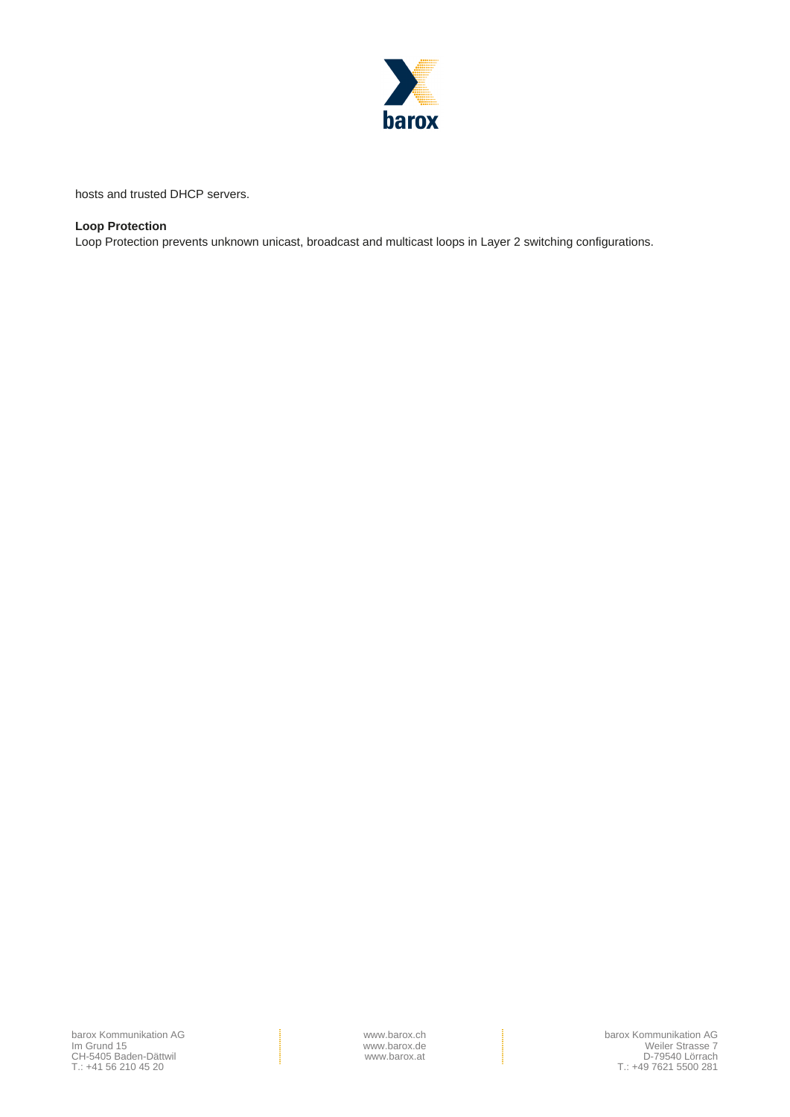

hosts and trusted DHCP servers.

#### **Loop Protection**

Loop Protection prevents unknown unicast, broadcast and multicast loops in Layer 2 switching configurations.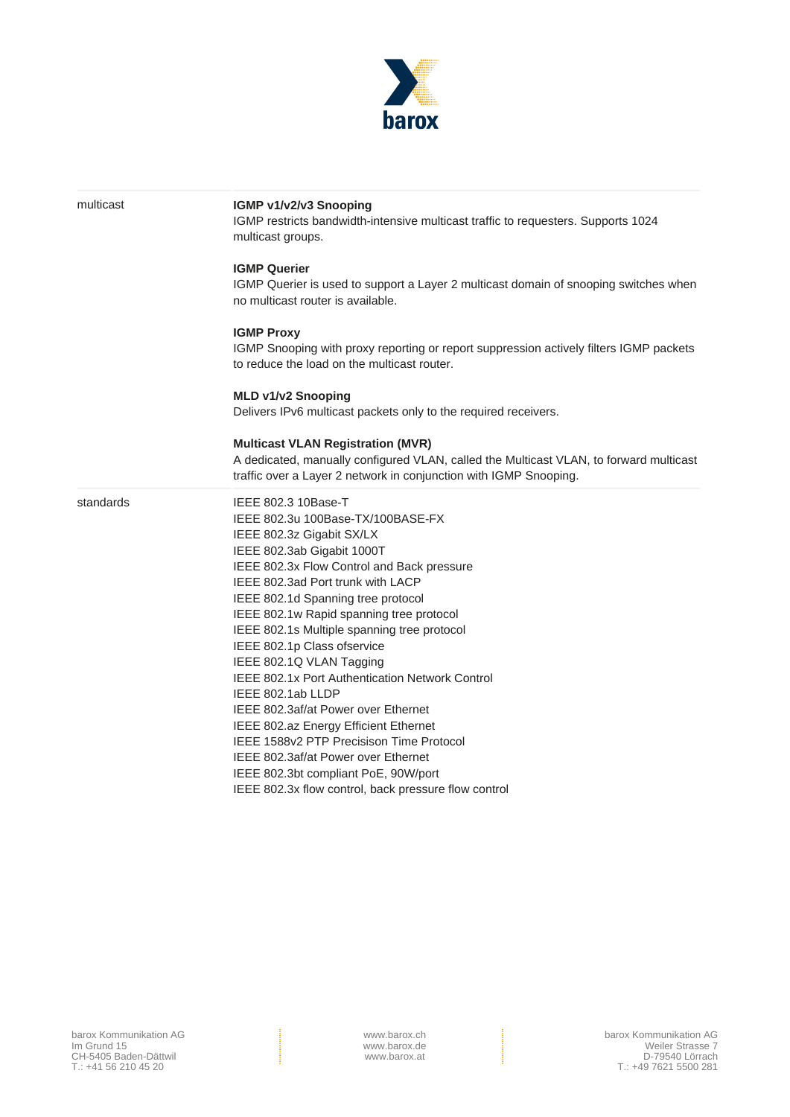

| multicast | IGMP v1/v2/v3 Snooping<br>IGMP restricts bandwidth-intensive multicast traffic to requesters. Supports 1024<br>multicast groups.                                                                                                                                                                                                                                                                                                                                                                                                                                                                                                                                                                                                              |
|-----------|-----------------------------------------------------------------------------------------------------------------------------------------------------------------------------------------------------------------------------------------------------------------------------------------------------------------------------------------------------------------------------------------------------------------------------------------------------------------------------------------------------------------------------------------------------------------------------------------------------------------------------------------------------------------------------------------------------------------------------------------------|
|           | <b>IGMP Querier</b><br>IGMP Querier is used to support a Layer 2 multicast domain of snooping switches when<br>no multicast router is available.                                                                                                                                                                                                                                                                                                                                                                                                                                                                                                                                                                                              |
|           | <b>IGMP Proxy</b><br>IGMP Snooping with proxy reporting or report suppression actively filters IGMP packets<br>to reduce the load on the multicast router.                                                                                                                                                                                                                                                                                                                                                                                                                                                                                                                                                                                    |
|           | <b>MLD v1/v2 Snooping</b><br>Delivers IPv6 multicast packets only to the required receivers.                                                                                                                                                                                                                                                                                                                                                                                                                                                                                                                                                                                                                                                  |
|           | <b>Multicast VLAN Registration (MVR)</b><br>A dedicated, manually configured VLAN, called the Multicast VLAN, to forward multicast<br>traffic over a Layer 2 network in conjunction with IGMP Snooping.                                                                                                                                                                                                                                                                                                                                                                                                                                                                                                                                       |
| standards | IEEE 802.3 10Base-T<br>IEEE 802.3u 100Base-TX/100BASE-FX<br>IEEE 802.3z Gigabit SX/LX<br>IEEE 802.3ab Gigabit 1000T<br>IEEE 802.3x Flow Control and Back pressure<br>IEEE 802.3ad Port trunk with LACP<br>IEEE 802.1d Spanning tree protocol<br>IEEE 802.1w Rapid spanning tree protocol<br>IEEE 802.1s Multiple spanning tree protocol<br>IEEE 802.1p Class ofservice<br>IEEE 802.1Q VLAN Tagging<br>IEEE 802.1x Port Authentication Network Control<br>IEEE 802.1ab LLDP<br>IEEE 802.3af/at Power over Ethernet<br>IEEE 802.az Energy Efficient Ethernet<br>IEEE 1588v2 PTP Precisison Time Protocol<br>IEEE 802.3af/at Power over Ethernet<br>IEEE 802.3bt compliant PoE, 90W/port<br>IEEE 802.3x flow control, back pressure flow control |